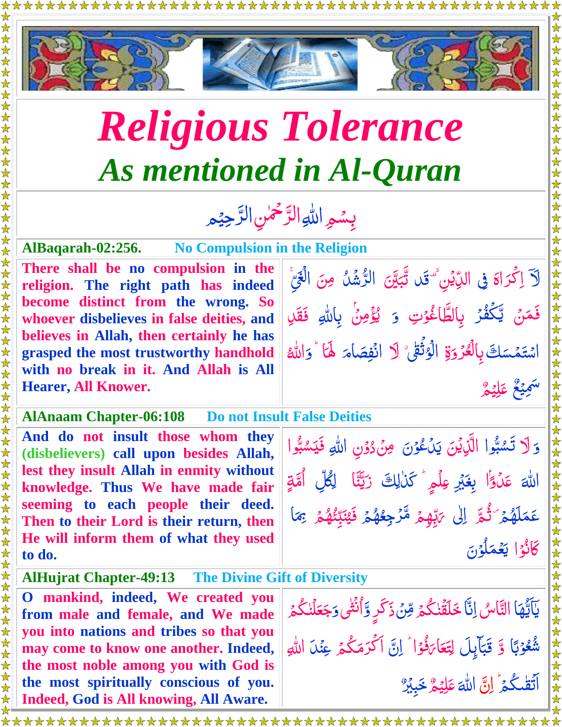

## *Religious Tolerance As mentioned in Al-Quran*

## بِسُمِ اللهِ الرَّحْمٰنِ الرَّحِيْمِ  $\tilde{a}$ رٌ  $\frac{1}{2}$ رٌ

## **AlBaqarah-02:256. No Compulsion in the Religion**

\*\*\*\*\*\*

**There shall be no compulsion in the religion. The right path has indeed become distinct from the wrong. So whoever disbelieves in false deities, and believes in Allah, then certainly he has grasped the most trustworthy handhold with no break in it. And Allah is All Hearer, All Knower.**

## **AlAnaam Chapter-06:108 Do not Insult False Deities**

**And do not insult those whom they (disbelievers) call upon besides Allah, lest they insult Allah in enmity without knowledge. Thus We have made fair seeming to each people their deed. Then to their Lord is their return, then He will inform them of what they used to do.** 

**AlHujrat Chapter-49:13 The Divine Gift of Diversity**

**O mankind, indeed, We created you from male and female, and We made you into nations and tribes so that you may come to know one another. Indeed, the most noble among you with God is the most spiritually conscious of you. Indeed, God is All knowing, All Aware.** 

لَآ اِكۡدَاءَ فِى الدِّيۡنِ ۙ ۖ قَد أَ اُ<br>ا .<br>با ٿَب<sub>َ</sub>يِّنَ الرُّشُلُ *و* َّب ڏڻا ر<br>پا رّ نَ الْغَيْ  $\frac{1}{2}$ فَمَنۡ يَّكۡفُرۡ بِالطَّاغُوۡتِ ر<br>لا **ُ**  $\frac{1}{2}$ <u>أ</u> مُّ<br>≏ُ َّ ֝֝֝֝֝֝֝֝֝֝֝֝֝֝<br>֧֝֝֝֝֝֝֝֝֝<br>֝<del>׀</del> وَ يُؤْمِنُ بِاللّٰهِ فَقَلِ  $\tilde{.}$ أ<br>أح <u>ُ</u> اسْتَمْسَكَ بِالْعُرُوَةِ Ñ َّ بِالۡعُرۡوَةِ الۡوَثَٰقِيُّ لَا انۡفِصَاٰمَ ر<br>ل <u>ُ</u> ا<br>ا ِ<br>ڈ انْفِصَامَ لَ<mark>هَ</mark>ا ً َّ و هّٰلل **ئ** ا ٌ ع ي ِ ََّس ٌ ֦֦֦֦֦֦֦֦֦֦֦֦֦֦֦֦֦֧֦֦֦֦֧֦֦֧֦֦֧֦֧֦֧֦֦֧֦֧֦֦֧֦֧֦֦֧֦֧֦֧֦֦֧֦֞֝֝֝֝֝֝֝֝֝֝֝֝֝֝֟֓֞֝֟֓֬֟֓֞֟֓֞֟֓֞֟֓֞֟֓֞ م ي ِ ل َّ ع ֝׆<br>ׇׇ

وَلا تَسْبُّوا الَّذِيْنَ نا<br>پو  $\ddot{ }$ **شا**  $\mathcal{C}$ َّ يَدَعْوُنَ مِنْ دُوْنِ اللّٰهِ فَيَسْبُوا <u>أ</u> ُّ <u>ُ</u><br>ُ لا<br>ا  $\tilde{\cdot}$ نا<br>پو  $\ddot{\phantom{0}}$ **شا** الله<del>َ</del> عَكَوًّا ۡۢ عَلَوْۤا بِغَيۡرِ عِلۡمٍ ؕ كَلٰلِكَ ۚ رَبَّنَا ۖ لِكُلِّ ۚ أُمَّةٍ َّن  $\sum_{i=1}^{n}$ ا<br>گر  $\ddot{\bm{\delta}}$ اُّ ۔<br>اگر عَمَلَهُمۡ<sup>ِ </sup>ٞ ثُمَّ ۚ اِلٰى يَ<mark>بِّه</mark>ِمُ  $\overline{\mathcal{L}}$ Ã ر<br>گ <u>تي</u><br>ح با<br>و َّ *ب*َّبِّهِمۡ مَّرۡ جِعُهُمۡ فَيُنَبِّئُهُمۡ ۚ بَمَا ر<br>ل  $\ddot{\bm{\delta}}$ ۔<br>ا  $\overline{\mathcal{L}}$ <u>ُ</u> ہ<br>گ  $\overline{\mathcal{L}}$ ع<br>م ت<br>د اُ<br>ا َّي <u>َ</u> ِبِمَا ا <u>ُز</u> كَانُوۡۤا يَعۡمَلُوۡنَ ُمُّ لمۇن  $\frac{1}{2}$  $\mu$ يَعْمَّ<br>ي

يَاَيُّهَا التَّاسُ اِنَّا خَلَقَٰنكُمۡ مِّنۡ ذَكَرٍ وَّاُنۡثَٰى وَ ُمَا<br>ُمُعَا  $\frac{1}{2}$ ٰ ڋ  $\ddot{\phantom{0}}$ ۔<br>ا ٰ Ž Ï ٰ ا بانداز<br>نام **وَجَعَلْنَكْ**مُ ہ<br>گ ٰ <mark>جَعَلۡنٰکُمۡ</mark> شُعُوۡبَا<sub>ٗ</sub> وَّ قَبَاۡإِ ب <u>أ</u> <u>ُ</u> لاً<br>ما Ï ڔ قبا<sub>ع</sub>ِلَ لِتَعَا<sub>كَ</sub>فُوَا َّب <u>أ</u> نُّ<br>ف <u>ت</u> ار <u>َّ</u> لِتَعَا<sub>ّكَ</sub> فُوْا أَ إِنَّ أَكْرَمَكُمُ  $\ddot{\cdot}$ ا ر<br>گ اَكْرَمَكْمُ عِن<sub>َ</sub>لاَ اللهِ ا ہ<br>گ اَتَقْكُمۡ ٰ اِنَّ ٰ Ï َّ هّٰلل ا ٌ م ي ِ ل َّ ع  $\frac{1}{2}$ خَبِيْرٌ